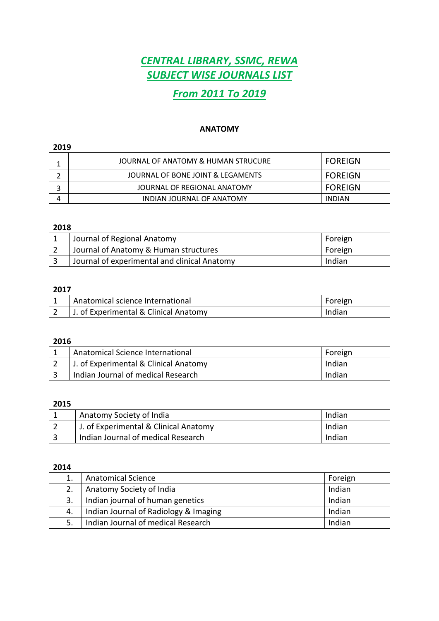# *CENTRAL LIBRARY, SSMC, REWA SUBJECT WISE JOURNALS LIST*

# *From 2011 To 2019*

### **ANATOMY**

### 

| JOURNAL OF ANATOMY & HUMAN STRUCURE | FOREIGN        |
|-------------------------------------|----------------|
| JOURNAL OF BONE JOINT & LEGAMENTS   | <b>FOREIGN</b> |
| JOURNAL OF REGIONAL ANATOMY         | <b>FOREIGN</b> |
| INDIAN JOURNAL OF ANATOMY           | <b>INDIAN</b>  |

### 

| Journal of Regional Anatomy                  | Foreign |
|----------------------------------------------|---------|
| Journal of Anatomy & Human structures        | Foreign |
| Journal of experimental and clinical Anatomy | Indian  |

### 

| Anatomical science International      | Foreign |
|---------------------------------------|---------|
| J. of Experimental & Clinical Anatomy | Indian  |

#### 

| Anatomical Science International      | Foreign |
|---------------------------------------|---------|
| J. of Experimental & Clinical Anatomy | Indian  |
| Indian Journal of medical Research    | Indian  |

#### 

| Anatomy Society of India              | Indian |
|---------------------------------------|--------|
| J. of Experimental & Clinical Anatomy | Indian |
| Indian Journal of medical Research    | Indian |

|    | <b>Anatomical Science</b>             | Foreign |
|----|---------------------------------------|---------|
|    | Anatomy Society of India              | Indian  |
| 3. | Indian journal of human genetics      | Indian  |
| 4. | Indian Journal of Radiology & Imaging | Indian  |
|    | Indian Journal of medical Research    | Indian  |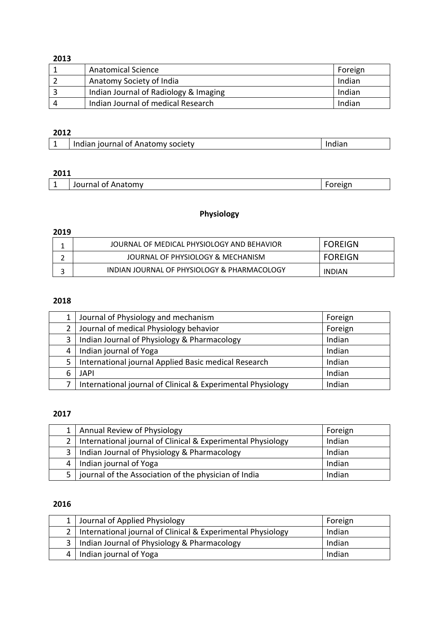| <b>Anatomical Science</b>             | Foreign |
|---------------------------------------|---------|
| Anatomy Society of India              | Indian  |
| Indian Journal of Radiology & Imaging | Indian  |
| Indian Journal of medical Research    | Indian  |

## 

| Indian journal of Anatomy society |  |
|-----------------------------------|--|

### 

| $ -$<br>ПV<br>- |  |
|-----------------|--|
|-----------------|--|

# **Physiology**

### 

| JOURNAL OF MEDICAL PHYSIOLOGY AND BEHAVIOR  | <b>FOREIGN</b> |
|---------------------------------------------|----------------|
| JOURNAL OF PHYSIOLOGY & MECHANISM           | <b>FOREIGN</b> |
| INDIAN JOURNAL OF PHYSIOLOGY & PHARMACOLOGY | <b>INDIAN</b>  |

# 

|   | Journal of Physiology and mechanism                         | Foreign |
|---|-------------------------------------------------------------|---------|
|   | Journal of medical Physiology behavior                      | Foreign |
| 3 | Indian Journal of Physiology & Pharmacology                 | Indian  |
| 4 | Indian journal of Yoga                                      | Indian  |
|   | International journal Applied Basic medical Research        | Indian  |
|   | <b>JAPI</b>                                                 | Indian  |
|   | International journal of Clinical & Experimental Physiology | Indian  |

### 

|                | Annual Review of Physiology                                 | Foreign |
|----------------|-------------------------------------------------------------|---------|
| 2 <sub>1</sub> | International journal of Clinical & Experimental Physiology | Indian  |
| 3 I            | Indian Journal of Physiology & Pharmacology                 | Indian  |
| 4              | Indian journal of Yoga                                      | Indian  |
| 5              | journal of the Association of the physician of India        | Indian  |

|                | Journal of Applied Physiology                               | Foreign |
|----------------|-------------------------------------------------------------|---------|
|                | International journal of Clinical & Experimental Physiology | Indian  |
| 3 <sup>1</sup> | Indian Journal of Physiology & Pharmacology                 | Indian  |
| $\overline{4}$ | Indian journal of Yoga                                      | Indian  |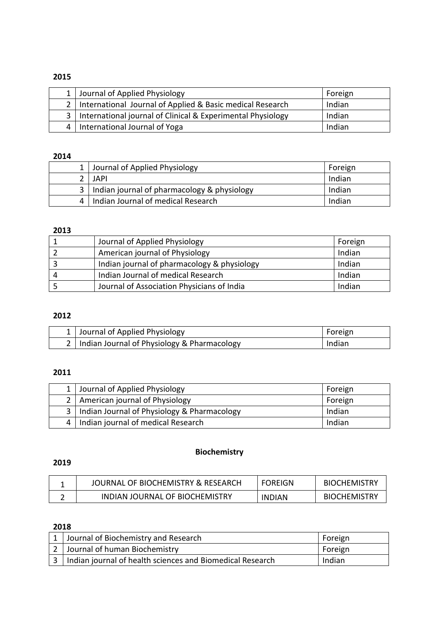| 1 Journal of Applied Physiology                                 | Foreign |
|-----------------------------------------------------------------|---------|
| 2   International Journal of Applied & Basic medical Research   | Indian  |
| 3   International journal of Clinical & Experimental Physiology | Indian  |
| 4   International Journal of Yoga                               | Indian  |

## 

| 1 Journal of Applied Physiology                 | Foreign |
|-------------------------------------------------|---------|
| JAPI                                            | Indian  |
| 3   Indian journal of pharmacology & physiology | Indian  |
| 4   Indian Journal of medical Research          | Indian  |

### 

| Journal of Applied Physiology               | Foreign |
|---------------------------------------------|---------|
| American journal of Physiology              | Indian  |
| Indian journal of pharmacology & physiology | Indian  |
| Indian Journal of medical Research          | Indian  |
| Journal of Association Physicians of India  | Indian  |

## 

| 1 Journal of Applied Physiology                 | Foreign |
|-------------------------------------------------|---------|
| 2   Indian Journal of Physiology & Pharmacology | Indian  |

### 

| 1 Journal of Applied Physiology                 | Foreign |
|-------------------------------------------------|---------|
| 2   American journal of Physiology              | Foreign |
| 3   Indian Journal of Physiology & Pharmacology | Indian  |
| Indian journal of medical Research              | Indian  |

# **Biochemistry**

### 

| JOURNAL OF BIOCHEMISTRY & RESEARCH | <b>FOREIGN</b> | <b>BIOCHEMISTRY</b> |
|------------------------------------|----------------|---------------------|
| INDIAN JOURNAL OF BIOCHEMISTRY     | <b>INDIAN</b>  | <b>BIOCHEMISTRY</b> |

| 1 Journal of Biochemistry and Research                        | Foreign |
|---------------------------------------------------------------|---------|
| 2 Journal of human Biochemistry                               | Foreign |
| 3   Indian journal of health sciences and Biomedical Research | Indian  |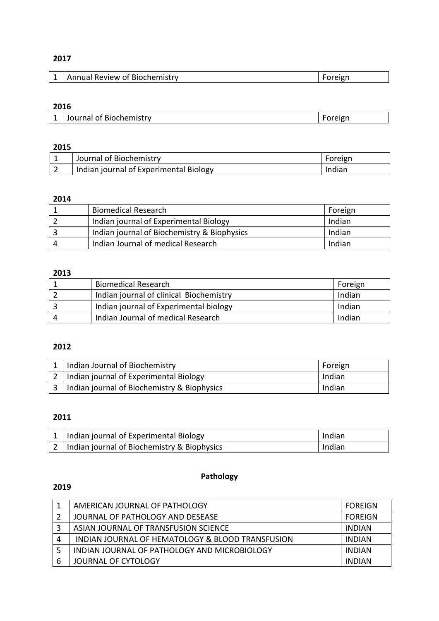| Annual Review of Biochemistry |
|-------------------------------|
|-------------------------------|

### 

|  | Journal of Biochemistry | שו |
|--|-------------------------|----|
|--|-------------------------|----|

### 

| Journal of Biochemistry                | Foreign |
|----------------------------------------|---------|
| Indian journal of Experimental Biology | Indian  |

### 

| <b>Biomedical Research</b>                  | Foreign |
|---------------------------------------------|---------|
| Indian journal of Experimental Biology      | Indian  |
| Indian journal of Biochemistry & Biophysics | Indian  |
| Indian Journal of medical Research          | Indian  |

# 

|   | <b>Biomedical Research</b>              | Foreign |
|---|-----------------------------------------|---------|
|   | Indian journal of clinical Biochemistry | Indian  |
|   | Indian journal of Experimental biology  | Indian  |
| Δ | Indian Journal of medical Research      | Indian  |

# 

| Indian Journal of Biochemistry              | Foreign |
|---------------------------------------------|---------|
| 2   Indian journal of Experimental Biology  | Indian  |
| Indian journal of Biochemistry & Biophysics | Indian  |

# 

| 1   Indian journal of Experimental Biology      | Indian |
|-------------------------------------------------|--------|
| 2   Indian journal of Biochemistry & Biophysics | Indian |

### 

# **Pathology**

|   | AMERICAN JOURNAL OF PATHOLOGY                    | <b>FOREIGN</b> |
|---|--------------------------------------------------|----------------|
|   | JOURNAL OF PATHOLOGY AND DESEASE                 | <b>FOREIGN</b> |
|   | ASIAN JOURNAL OF TRANSFUSION SCIENCE             | INDIAN         |
| 4 | INDIAN JOURNAL OF HEMATOLOGY & BLOOD TRANSFUSION | INDIAN         |
|   | INDIAN JOURNAL OF PATHOLOGY AND MICROBIOLOGY     | <b>INDIAN</b>  |
| 6 | JOURNAL OF CYTOLOGY                              | INDIAN         |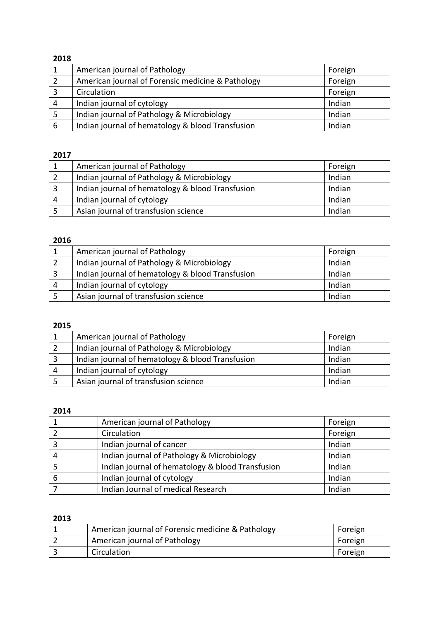|   | American journal of Pathology                     | Foreign |
|---|---------------------------------------------------|---------|
| 2 | American journal of Forensic medicine & Pathology | Foreign |
|   | Circulation                                       | Foreign |
| 4 | Indian journal of cytology                        | Indian  |
|   | Indian journal of Pathology & Microbiology        | Indian  |
| 6 | Indian journal of hematology & blood Transfusion  | Indian  |

## 

|   | American journal of Pathology                    | Foreign |
|---|--------------------------------------------------|---------|
|   | Indian journal of Pathology & Microbiology       | Indian  |
|   | Indian journal of hematology & blood Transfusion | Indian  |
| 4 | Indian journal of cytology                       | Indian  |
|   | Asian journal of transfusion science             | Indian  |

# 

|   | American journal of Pathology                    | Foreign |
|---|--------------------------------------------------|---------|
|   | Indian journal of Pathology & Microbiology       | Indian  |
|   | Indian journal of hematology & blood Transfusion | Indian  |
| 4 | Indian journal of cytology                       | Indian  |
|   | Asian journal of transfusion science             | Indian  |

### 

|   | American journal of Pathology                    | Foreign |
|---|--------------------------------------------------|---------|
|   | Indian journal of Pathology & Microbiology       | Indian  |
|   | Indian journal of hematology & blood Transfusion | Indian  |
| 4 | Indian journal of cytology                       | Indian  |
|   | Asian journal of transfusion science             | Indian  |

### 

|   | American journal of Pathology                    | Foreign |
|---|--------------------------------------------------|---------|
|   | Circulation                                      | Foreign |
| 3 | Indian journal of cancer                         | Indian  |
| 4 | Indian journal of Pathology & Microbiology       | Indian  |
|   | Indian journal of hematology & blood Transfusion | Indian  |
| 6 | Indian journal of cytology                       | Indian  |
|   | Indian Journal of medical Research               | Indian  |

| American journal of Forensic medicine & Pathology | Foreign |
|---------------------------------------------------|---------|
| American journal of Pathology                     | Foreign |
| Circulation                                       | Foreign |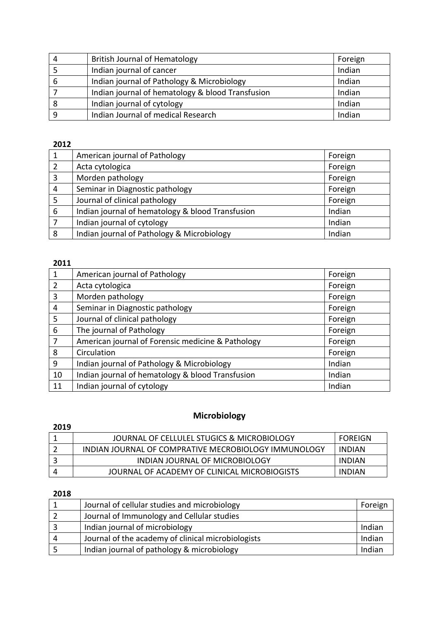| 4 | <b>British Journal of Hematology</b>             | Foreign |
|---|--------------------------------------------------|---------|
|   | Indian journal of cancer                         | Indian  |
| 6 | Indian journal of Pathology & Microbiology       | Indian  |
|   | Indian journal of hematology & blood Transfusion | Indian  |
|   | Indian journal of cytology                       | Indian  |
|   | Indian Journal of medical Research               | Indian  |

|   | American journal of Pathology                    | Foreign |
|---|--------------------------------------------------|---------|
| 2 | Acta cytologica                                  | Foreign |
| 3 | Morden pathology                                 | Foreign |
| 4 | Seminar in Diagnostic pathology                  | Foreign |
| 5 | Journal of clinical pathology                    | Foreign |
| 6 | Indian journal of hematology & blood Transfusion | Indian  |
|   | Indian journal of cytology                       | Indian  |
| 8 | Indian journal of Pathology & Microbiology       | Indian  |

## 

| 1              | American journal of Pathology                     | Foreign |
|----------------|---------------------------------------------------|---------|
| $\overline{2}$ | Acta cytologica                                   | Foreign |
| 3              | Morden pathology                                  | Foreign |
| 4              | Seminar in Diagnostic pathology                   | Foreign |
| 5              | Journal of clinical pathology                     | Foreign |
| 6              | The journal of Pathology                          | Foreign |
| 7              | American journal of Forensic medicine & Pathology | Foreign |
| 8              | Circulation                                       | Foreign |
| 9              | Indian journal of Pathology & Microbiology        | Indian  |
| 10             | Indian journal of hematology & blood Transfusion  | Indian  |
| 11             | Indian journal of cytology                        | Indian  |

## **Microbiology**

# 1 | JOURNAL OF CELLULEL STUGICS & MICROBIOLOGY | FOREIGN 2 | INDIAN JOURNAL OF COMPRATIVE MECROBIOLOGY IMMUNOLOGY | INDIAN 3 | INDIAN JOURNAL OF MICROBIOLOGY | INDIAN 4 JOURNAL OF ACADEMY OF CLINICAL MICROBIOGISTS INDIAN

| Journal of cellular studies and microbiology       | Foreign |
|----------------------------------------------------|---------|
| Journal of Immunology and Cellular studies         |         |
| Indian journal of microbiology                     | Indian  |
| Journal of the academy of clinical microbiologists | Indian  |
| Indian journal of pathology & microbiology         | Indian  |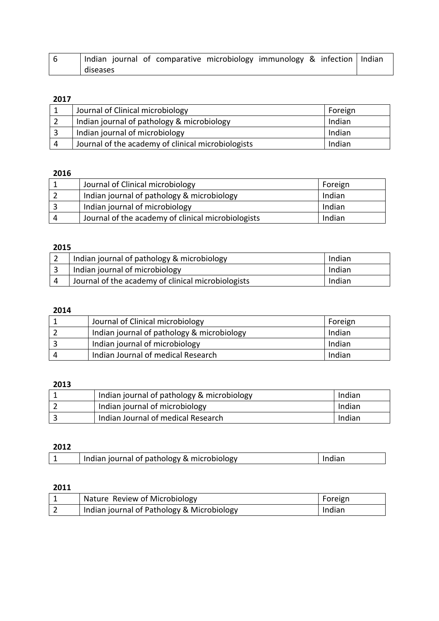| Indian journal of comparative microbiology immunology & infection   Indian |  |  |  |
|----------------------------------------------------------------------------|--|--|--|
| diseases                                                                   |  |  |  |

| Journal of Clinical microbiology                   | Foreign |
|----------------------------------------------------|---------|
| Indian journal of pathology & microbiology         | Indian  |
| Indian journal of microbiology                     | Indian  |
| Journal of the academy of clinical microbiologists | Indian  |

# 

|   | Journal of Clinical microbiology                   | Foreign |
|---|----------------------------------------------------|---------|
|   | Indian journal of pathology & microbiology         | Indian  |
|   | Indian journal of microbiology                     | Indian  |
| 4 | Journal of the academy of clinical microbiologists | Indian  |

## 

| Indian journal of pathology & microbiology         | Indian |
|----------------------------------------------------|--------|
| Indian journal of microbiology                     | Indian |
| Journal of the academy of clinical microbiologists | Indian |

### 

| Journal of Clinical microbiology           | Foreign |
|--------------------------------------------|---------|
| Indian journal of pathology & microbiology | Indian  |
| Indian journal of microbiology             | Indian  |
| Indian Journal of medical Research         | Indian  |

## 

| Indian journal of pathology & microbiology | Indian |
|--------------------------------------------|--------|
| Indian journal of microbiology             | Indian |
| Indian Journal of medical Research         | Indian |

# 

| Indian journal of pathology & microbiology |  |
|--------------------------------------------|--|
|--------------------------------------------|--|

|   | Nature Review of Microbiology              | Foreign |
|---|--------------------------------------------|---------|
| ∠ | Indian journal of Pathology & Microbiology | Indian  |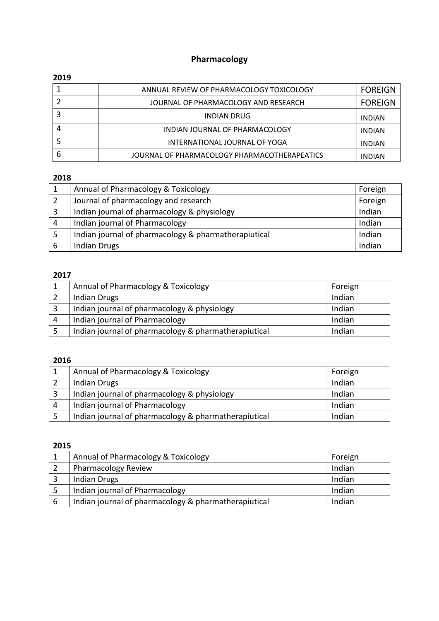# **Pharmacology**

### 

|   | ANNUAL REVIEW OF PHARMACOLOGY TOXICOLOGY     | <b>FOREIGN</b> |
|---|----------------------------------------------|----------------|
|   | JOURNAL OF PHARMACOLOGY AND RESEARCH         | <b>FOREIGN</b> |
|   | <b>INDIAN DRUG</b>                           | <b>INDIAN</b>  |
|   | INDIAN JOURNAL OF PHARMACOLOGY               | <b>INDIAN</b>  |
|   | INTERNATIONAL JOURNAL OF YOGA                | <b>INDIAN</b>  |
| 6 | JOURNAL OF PHARMACOLOGY PHARMACOTHERAPEATICS | <b>INDIAN</b>  |

# 

|   | Annual of Pharmacology & Toxicology                  | Foreign |
|---|------------------------------------------------------|---------|
|   | Journal of pharmacology and research                 | Foreign |
|   | Indian journal of pharmacology & physiology          | Indian  |
| 4 | Indian journal of Pharmacology                       | Indian  |
|   | Indian journal of pharmacology & pharmatherapiutical | Indian  |
|   | <b>Indian Drugs</b>                                  | Indian  |

### 

|   | Annual of Pharmacology & Toxicology                  | Foreign |
|---|------------------------------------------------------|---------|
|   | <b>Indian Drugs</b>                                  | Indian  |
| 3 | Indian journal of pharmacology & physiology          | Indian  |
| 4 | Indian journal of Pharmacology                       | Indian  |
|   | Indian journal of pharmacology & pharmatherapiutical | Indian  |

# 

|   | Annual of Pharmacology & Toxicology                  | Foreign |
|---|------------------------------------------------------|---------|
|   | <b>Indian Drugs</b>                                  | Indian  |
|   | Indian journal of pharmacology & physiology          | Indian  |
| 4 | Indian journal of Pharmacology                       | Indian  |
|   | Indian journal of pharmacology & pharmatherapiutical | Indian  |

| Annual of Pharmacology & Toxicology                  | Foreign |
|------------------------------------------------------|---------|
| <b>Pharmacology Review</b>                           | Indian  |
| <b>Indian Drugs</b>                                  | Indian  |
| Indian journal of Pharmacology                       | Indian  |
| Indian journal of pharmacology & pharmatherapiutical | Indian  |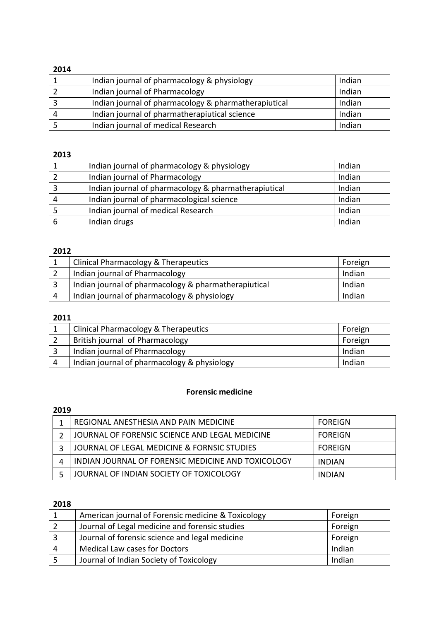| Indian journal of pharmacology & physiology          | Indian |
|------------------------------------------------------|--------|
| Indian journal of Pharmacology                       | Indian |
| Indian journal of pharmacology & pharmatherapiutical | Indian |
| Indian journal of pharmatherapiutical science        | Indian |
| Indian journal of medical Research                   | Indian |

### 

| Indian journal of pharmacology & physiology          | Indian |
|------------------------------------------------------|--------|
| Indian journal of Pharmacology                       | Indian |
| Indian journal of pharmacology & pharmatherapiutical | Indian |
| Indian journal of pharmacological science            | Indian |
| Indian journal of medical Research                   | Indian |
| Indian drugs                                         | Indian |

## 

| Clinical Pharmacology & Therapeutics                 | Foreign |
|------------------------------------------------------|---------|
| Indian journal of Pharmacology                       | Indian  |
| Indian journal of pharmacology & pharmatherapiutical | Indian  |
| Indian journal of pharmacology & physiology          | Indian  |

# 

| Clinical Pharmacology & Therapeutics        | Foreign |
|---------------------------------------------|---------|
| British journal of Pharmacology             | Foreign |
| Indian journal of Pharmacology              | Indian  |
| Indian journal of pharmacology & physiology | Indian  |

### **Forensic medicine**

# 

| REGIONAL ANESTHESIA AND PAIN MEDICINE              | <b>FOREIGN</b> |
|----------------------------------------------------|----------------|
| JOURNAL OF FORENSIC SCIENCE AND LEGAL MEDICINE     | <b>FOREIGN</b> |
| JOURNAL OF LEGAL MEDICINE & FORNSIC STUDIES        | <b>FOREIGN</b> |
| INDIAN JOURNAL OF FORENSIC MEDICINE AND TOXICOLOGY | <b>INDIAN</b>  |
| JOURNAL OF INDIAN SOCIETY OF TOXICOLOGY            | <b>INDIAN</b>  |

|   | American journal of Forensic medicine & Toxicology | Foreign |
|---|----------------------------------------------------|---------|
|   | Journal of Legal medicine and forensic studies     | Foreign |
| ર | Journal of forensic science and legal medicine     | Foreign |
| Δ | <b>Medical Law cases for Doctors</b>               | Indian  |
|   | Journal of Indian Society of Toxicology            | Indian  |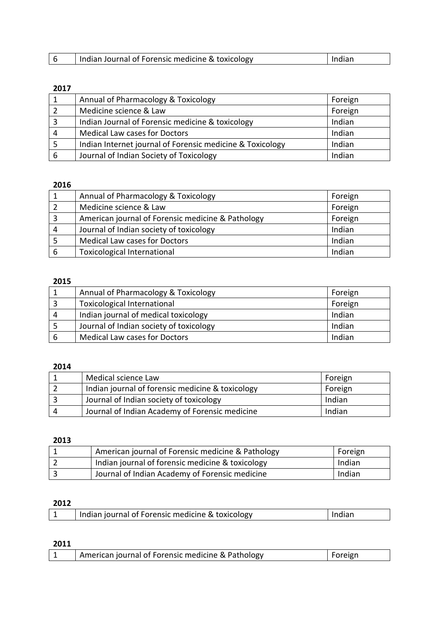| Indian Journal of Forensic medicine & toxicology<br>-indian |  |  |
|-------------------------------------------------------------|--|--|
|                                                             |  |  |

|   | Annual of Pharmacology & Toxicology                       | Foreign |
|---|-----------------------------------------------------------|---------|
|   | Medicine science & Law                                    | Foreign |
|   | Indian Journal of Forensic medicine & toxicology          | Indian  |
|   | <b>Medical Law cases for Doctors</b>                      | Indian  |
|   | Indian Internet journal of Forensic medicine & Toxicology | Indian  |
| 6 | Journal of Indian Society of Toxicology                   | Indian  |

## 

|   | Annual of Pharmacology & Toxicology               | Foreign |
|---|---------------------------------------------------|---------|
|   | Medicine science & Law                            | Foreign |
| 3 | American journal of Forensic medicine & Pathology | Foreign |
| 4 | Journal of Indian society of toxicology           | Indian  |
|   | <b>Medical Law cases for Doctors</b>              | Indian  |
| 6 | <b>Toxicological International</b>                | Indian  |

# 

|   | Annual of Pharmacology & Toxicology     | Foreign |
|---|-----------------------------------------|---------|
|   | <b>Toxicological International</b>      | Foreign |
| Δ | Indian journal of medical toxicology    | Indian  |
|   | Journal of Indian society of toxicology | Indian  |
|   | <b>Medical Law cases for Doctors</b>    | Indian  |

## 

|   | Medical science Law                              | Foreign |
|---|--------------------------------------------------|---------|
|   | Indian journal of forensic medicine & toxicology | Foreign |
|   | Journal of Indian society of toxicology          | Indian  |
| 4 | Journal of Indian Academy of Forensic medicine   | Indian  |

### 

| American journal of Forensic medicine & Pathology | Foreign |
|---------------------------------------------------|---------|
| Indian journal of forensic medicine & toxicology  | Indian  |
| Journal of Indian Academy of Forensic medicine    | Indian  |

## 

|  |  | Indian journal of Forensic medicine & toxicology | Indian |
|--|--|--------------------------------------------------|--------|
|--|--|--------------------------------------------------|--------|

| American journal of Forensic medicine & Pathology |  |  |
|---------------------------------------------------|--|--|
|---------------------------------------------------|--|--|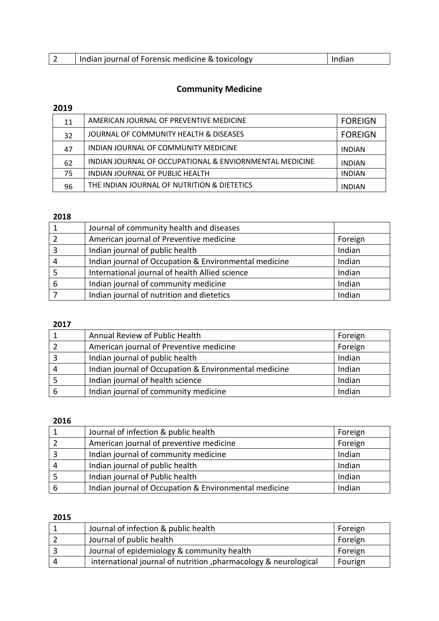| Indian journal of Forensic medicine & toxicology | Indian |
|--------------------------------------------------|--------|

# **Community Medicine**

# 

| 11 | AMERICAN JOURNAL OF PREVENTIVE MEDICINE                 | <b>FOREIGN</b> |
|----|---------------------------------------------------------|----------------|
| 32 | JOURNAL OF COMMUNITY HEALTH & DISEASES                  | <b>FOREIGN</b> |
| 47 | INDIAN JOURNAL OF COMMUNITY MEDICINE                    | <b>INDIAN</b>  |
| 62 | INDIAN JOURNAL OF OCCUPATIONAL & ENVIORNMENTAL MEDICINE | <b>INDIAN</b>  |
| 75 | INDIAN JOURNAL OF PUBLIC HEALTH                         | <b>INDIAN</b>  |
| 96 | THE INDIAN JOURNAL OF NUTRITION & DIETETICS             | <b>INDIAN</b>  |

## 

|   | Journal of community health and diseases              |         |
|---|-------------------------------------------------------|---------|
|   | American journal of Preventive medicine               | Foreign |
|   | Indian journal of public health                       | Indian  |
|   | Indian journal of Occupation & Environmental medicine | Indian  |
|   | International journal of health Allied science        | Indian  |
| 6 | Indian journal of community medicine                  | Indian  |
|   | Indian journal of nutrition and dietetics             | Indian  |

### 

| Annual Review of Public Health                        | Foreign |
|-------------------------------------------------------|---------|
| American journal of Preventive medicine               | Foreign |
| Indian journal of public health                       | Indian  |
| Indian journal of Occupation & Environmental medicine | Indian  |
| Indian journal of health science                      | Indian  |
| Indian journal of community medicine                  | Indian  |

## 

|   | Journal of infection & public health                  | Foreign |
|---|-------------------------------------------------------|---------|
|   | American journal of preventive medicine               | Foreign |
|   | Indian journal of community medicine                  | Indian  |
| 4 | Indian journal of public health                       | Indian  |
|   | Indian journal of Public health                       | Indian  |
| b | Indian journal of Occupation & Environmental medicine | Indian  |

|     | Journal of infection & public health                            | Foreign |
|-----|-----------------------------------------------------------------|---------|
|     | Journal of public health                                        | Foreign |
|     | Journal of epidemiology & community health                      | Foreign |
| - 4 | international journal of nutrition, pharmacology & neurological | Fourign |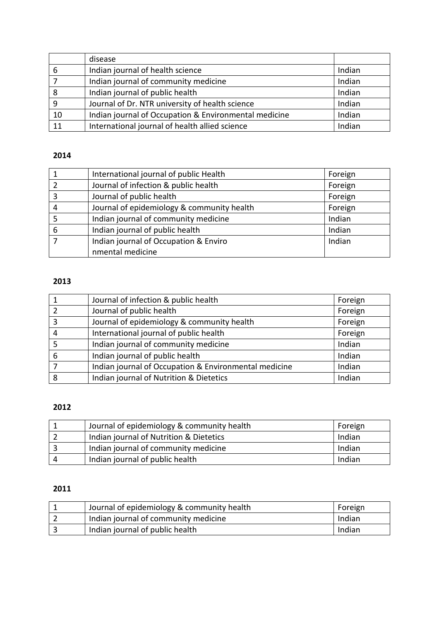|    | disease                                               |        |
|----|-------------------------------------------------------|--------|
| 6  | Indian journal of health science                      | Indian |
|    | Indian journal of community medicine                  | Indian |
| 8  | Indian journal of public health                       | Indian |
|    | Journal of Dr. NTR university of health science       | Indian |
| 10 | Indian journal of Occupation & Environmental medicine | Indian |
| 11 | International journal of health allied science        | Indian |

|   | International journal of public Health     | Foreign |
|---|--------------------------------------------|---------|
| 2 | Journal of infection & public health       | Foreign |
| 3 | Journal of public health                   | Foreign |
| 4 | Journal of epidemiology & community health | Foreign |
|   | Indian journal of community medicine       | Indian  |
| 6 | Indian journal of public health            | Indian  |
|   | Indian journal of Occupation & Enviro      | Indian  |
|   | nmental medicine                           |         |

# 

|   | Journal of infection & public health                  | Foreign |
|---|-------------------------------------------------------|---------|
|   | Journal of public health                              | Foreign |
| 3 | Journal of epidemiology & community health            | Foreign |
| 4 | International journal of public health                | Foreign |
|   | Indian journal of community medicine                  | Indian  |
| 6 | Indian journal of public health                       | Indian  |
|   | Indian journal of Occupation & Environmental medicine | Indian  |
| 8 | Indian journal of Nutrition & Dietetics               | Indian  |

### 

|     | Journal of epidemiology & community health | Foreign |
|-----|--------------------------------------------|---------|
|     | Indian journal of Nutrition & Dietetics    | Indian  |
|     | Indian journal of community medicine       | Indian  |
| - 4 | Indian journal of public health            | Indian  |

| Journal of epidemiology & community health | Foreign |
|--------------------------------------------|---------|
| Indian journal of community medicine       | Indian  |
| Indian journal of public health            | Indian  |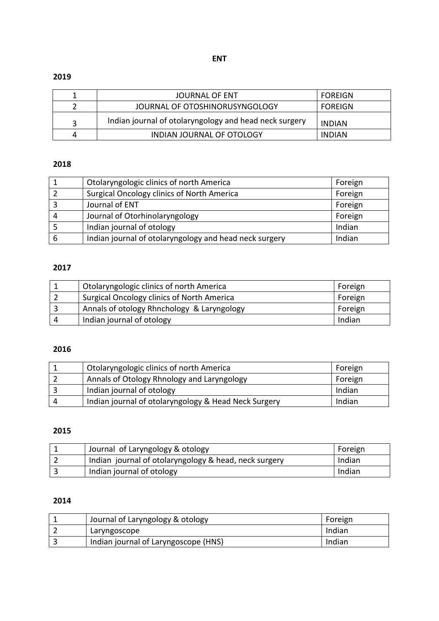|   | JOURNAL OF ENT                                         | <b>FOREIGN</b> |
|---|--------------------------------------------------------|----------------|
|   | JOURNAL OF OTOSHINORUSYNGOLOGY                         | FOREIGN        |
|   | Indian journal of otolaryngology and head neck surgery | <b>INDIAN</b>  |
| 4 | INDIAN JOURNAL OF OTOLOGY                              | <b>INDIAN</b>  |

## 

|   | Otolaryngologic clinics of north America               | Foreign |
|---|--------------------------------------------------------|---------|
|   | <b>Surgical Oncology clinics of North America</b>      | Foreign |
|   | Journal of ENT                                         | Foreign |
| 4 | Journal of Otorhinolaryngology                         | Foreign |
|   | Indian journal of otology                              | Indian  |
| 6 | Indian journal of otolaryngology and head neck surgery | Indian  |

# 

| Otolaryngologic clinics of north America   | Foreign |
|--------------------------------------------|---------|
| Surgical Oncology clinics of North America | Foreign |
| Annals of otology Rhnchology & Laryngology | Foreign |
| Indian journal of otology                  | Indian  |

### 

|   | Otolaryngologic clinics of north America             | Foreign |
|---|------------------------------------------------------|---------|
|   | Annals of Otology Rhnology and Laryngology           | Foreign |
|   | Indian journal of otology                            | Indian  |
| Δ | Indian journal of otolaryngology & Head Neck Surgery | Indian  |

## 

| Journal of Laryngology & otology                      | Foreign |
|-------------------------------------------------------|---------|
| Indian journal of otolaryngology & head, neck surgery | Indian  |
| Indian journal of otology                             | Indian  |

| Journal of Laryngology & otology     | Foreign |
|--------------------------------------|---------|
| Laryngoscope                         | Indian  |
| Indian journal of Laryngoscope (HNS) | Indian  |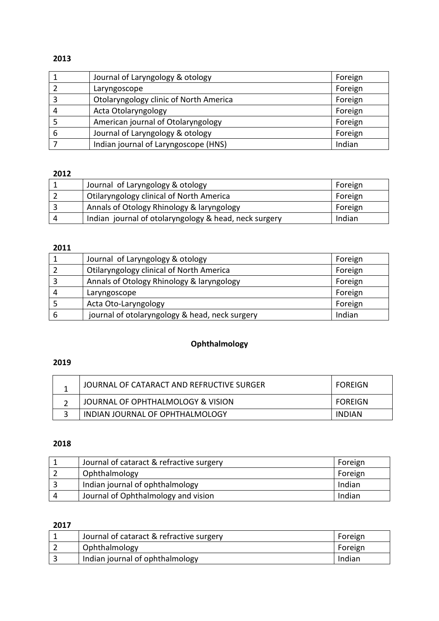|   | Journal of Laryngology & otology       | Foreign |
|---|----------------------------------------|---------|
|   | Laryngoscope                           | Foreign |
|   | Otolaryngology clinic of North America | Foreign |
|   | Acta Otolaryngology                    | Foreign |
|   | American journal of Otolaryngology     | Foreign |
| 6 | Journal of Laryngology & otology       | Foreign |
|   | Indian journal of Laryngoscope (HNS)   | Indian  |

### 

| Journal of Laryngology & otology                      | Foreign |
|-------------------------------------------------------|---------|
| <b>Otilaryngology clinical of North America</b>       | Foreign |
| Annals of Otology Rhinology & laryngology             | Foreign |
| Indian journal of otolaryngology & head, neck surgery | Indian  |

# 

|   | Journal of Laryngology & otology                | Foreign |
|---|-------------------------------------------------|---------|
|   | <b>Otilaryngology clinical of North America</b> | Foreign |
| 3 | Annals of Otology Rhinology & laryngology       | Foreign |
| 4 | Laryngoscope                                    | Foreign |
|   | Acta Oto-Laryngology                            | Foreign |
| 6 | journal of otolaryngology & head, neck surgery  | Indian  |

# **Ophthalmology**

### 

| JOURNAL OF CATARACT AND REFRUCTIVE SURGER | FOREIGN |
|-------------------------------------------|---------|
| JOURNAL OF OPHTHALMOLOGY & VISION         | FOREIGN |
| INDIAN JOURNAL OF OPHTHALMOLOGY           | INDIAN  |

# 

|   | Journal of cataract & refractive surgery | Foreign |
|---|------------------------------------------|---------|
|   | Ophthalmology                            | Foreign |
| 3 | Indian journal of ophthalmology          | Indian  |
| Δ | Journal of Ophthalmology and vision      | Indian  |

| Journal of cataract & refractive surgery | Foreign |
|------------------------------------------|---------|
| Ophthalmology                            | Foreign |
| Indian journal of ophthalmology          | Indian  |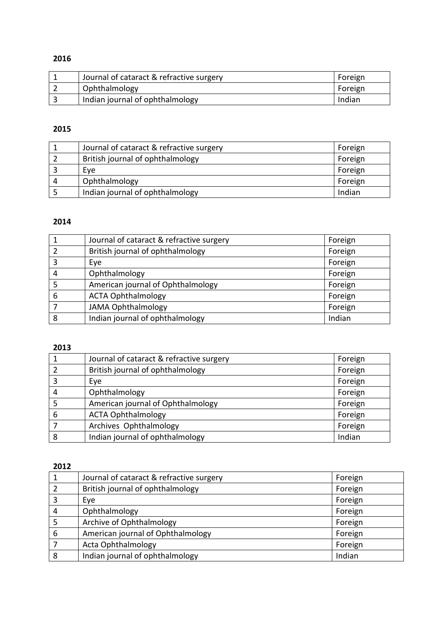| Journal of cataract & refractive surgery | Foreign |
|------------------------------------------|---------|
| Ophthalmology                            | Foreign |
| Indian journal of ophthalmology          | Indian  |

# 

| Journal of cataract & refractive surgery | Foreign |
|------------------------------------------|---------|
| British journal of ophthalmology         | Foreign |
| Eve                                      | Foreign |
| Ophthalmology                            | Foreign |
| Indian journal of ophthalmology          | Indian  |

## 

|   | Journal of cataract & refractive surgery | Foreign |
|---|------------------------------------------|---------|
|   | British journal of ophthalmology         | Foreign |
|   | Eye                                      | Foreign |
| 4 | Ophthalmology                            | Foreign |
|   | American journal of Ophthalmology        | Foreign |
| 6 | <b>ACTA Ophthalmology</b>                | Foreign |
|   | <b>JAMA Ophthalmology</b>                | Foreign |
|   | Indian journal of ophthalmology          | Indian  |

## 

|   | Journal of cataract & refractive surgery | Foreign |
|---|------------------------------------------|---------|
|   | British journal of ophthalmology         | Foreign |
| 3 | Eye                                      | Foreign |
| 4 | Ophthalmology                            | Foreign |
|   | American journal of Ophthalmology        | Foreign |
| 6 | <b>ACTA Ophthalmology</b>                | Foreign |
|   | Archives Ophthalmology                   | Foreign |
| 8 | Indian journal of ophthalmology          | Indian  |

|   | Journal of cataract & refractive surgery | Foreign |
|---|------------------------------------------|---------|
|   | British journal of ophthalmology         | Foreign |
| 3 | Eye                                      | Foreign |
| 4 | Ophthalmology                            | Foreign |
|   | Archive of Ophthalmology                 | Foreign |
| 6 | American journal of Ophthalmology        | Foreign |
|   | Acta Ophthalmology                       | Foreign |
| 8 | Indian journal of ophthalmology          | Indian  |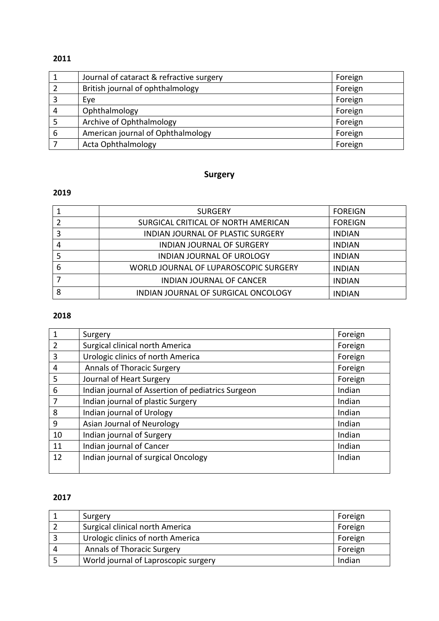| $\mathbf{1}$ | Journal of cataract & refractive surgery | Foreign |
|--------------|------------------------------------------|---------|
|              | British journal of ophthalmology         | Foreign |
| 3            | Eye                                      | Foreign |
| 4            | Ophthalmology                            | Foreign |
|              | Archive of Ophthalmology                 | Foreign |
| 6            | American journal of Ophthalmology        | Foreign |
|              | Acta Ophthalmology                       | Foreign |

# **Surgery**

# 

|   | <b>SURGERY</b>                           | <b>FOREIGN</b> |
|---|------------------------------------------|----------------|
|   | SURGICAL CRITICAL OF NORTH AMERICAN      | <b>FOREIGN</b> |
|   | <b>INDIAN JOURNAL OF PLASTIC SURGERY</b> | <b>INDIAN</b>  |
|   | <b>INDIAN JOURNAL OF SURGERY</b>         | <b>INDIAN</b>  |
|   | <b>INDIAN JOURNAL OF UROLOGY</b>         | <b>INDIAN</b>  |
| 6 | WORLD JOURNAL OF LUPAROSCOPIC SURGERY    | <b>INDIAN</b>  |
|   | <b>INDIAN JOURNAL OF CANCER</b>          | <b>INDIAN</b>  |
| 8 | INDIAN JOURNAL OF SURGICAL ONCOLOGY      | <b>INDIAN</b>  |

### 

| 1              | Surgery                                           | Foreign |
|----------------|---------------------------------------------------|---------|
| $\overline{2}$ | Surgical clinical north America                   | Foreign |
| 3              | Urologic clinics of north America                 | Foreign |
| 4              | <b>Annals of Thoracic Surgery</b>                 | Foreign |
| 5              | Journal of Heart Surgery                          | Foreign |
| 6              | Indian journal of Assertion of pediatrics Surgeon | Indian  |
|                | Indian journal of plastic Surgery                 | Indian  |
| 8              | Indian journal of Urology                         | Indian  |
| 9              | Asian Journal of Neurology                        | Indian  |
| 10             | Indian journal of Surgery                         | Indian  |
| 11             | Indian journal of Cancer                          | Indian  |
| 12             | Indian journal of surgical Oncology               | Indian  |
|                |                                                   |         |

|   | Surgery                              | Foreign |
|---|--------------------------------------|---------|
|   | Surgical clinical north America      | Foreign |
|   | Urologic clinics of north America    | Foreign |
| 4 | <b>Annals of Thoracic Surgery</b>    | Foreign |
|   | World journal of Laproscopic surgery | Indian  |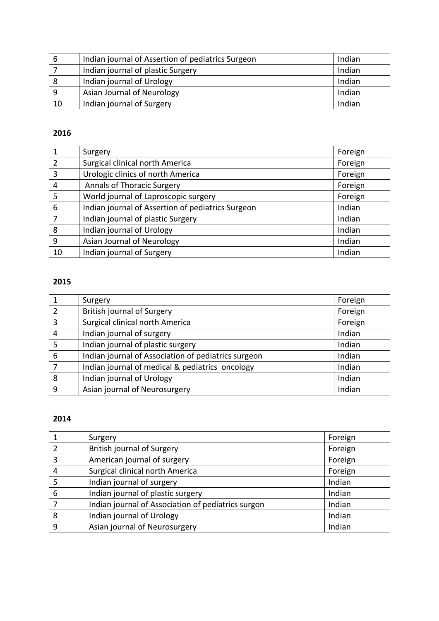| 6  | Indian journal of Assertion of pediatrics Surgeon | Indian |
|----|---------------------------------------------------|--------|
|    | Indian journal of plastic Surgery                 | Indian |
| 8  | Indian journal of Urology                         | Indian |
| 9  | Asian Journal of Neurology                        | Indian |
| 10 | Indian journal of Surgery                         | Indian |

| $\mathbf{1}$   | Surgery                                           | Foreign |
|----------------|---------------------------------------------------|---------|
| $\overline{2}$ | Surgical clinical north America                   | Foreign |
| 3              | Urologic clinics of north America                 | Foreign |
| $\overline{4}$ | <b>Annals of Thoracic Surgery</b>                 | Foreign |
| 5              | World journal of Laproscopic surgery              | Foreign |
| 6              | Indian journal of Assertion of pediatrics Surgeon | Indian  |
| $\overline{7}$ | Indian journal of plastic Surgery                 | Indian  |
| 8              | Indian journal of Urology                         | Indian  |
| 9              | Asian Journal of Neurology                        | Indian  |
| 10             | Indian journal of Surgery                         | Indian  |

# 

|   | Surgery                                             | Foreign |
|---|-----------------------------------------------------|---------|
| 2 | <b>British journal of Surgery</b>                   | Foreign |
| 3 | Surgical clinical north America                     | Foreign |
| 4 | Indian journal of surgery                           | Indian  |
| 5 | Indian journal of plastic surgery                   | Indian  |
| 6 | Indian journal of Association of pediatrics surgeon | Indian  |
|   | Indian journal of medical & pediatrics oncology     | Indian  |
| 8 | Indian journal of Urology                           | Indian  |
| 9 | Asian journal of Neurosurgery                       | Indian  |

|   | Surgery                                            | Foreign |
|---|----------------------------------------------------|---------|
|   | <b>British journal of Surgery</b>                  | Foreign |
| 3 | American journal of surgery                        | Foreign |
| 4 | Surgical clinical north America                    | Foreign |
| 5 | Indian journal of surgery                          | Indian  |
| 6 | Indian journal of plastic surgery                  | Indian  |
|   | Indian journal of Association of pediatrics surgon | Indian  |
| 8 | Indian journal of Urology                          | Indian  |
| 9 | Asian journal of Neurosurgery                      | Indian  |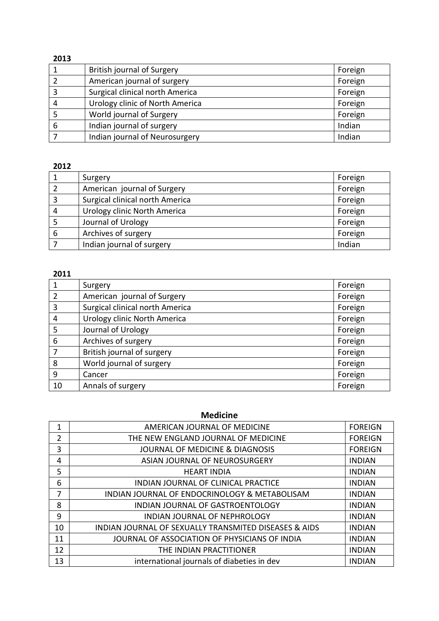| 2013 |                                 |         |
|------|---------------------------------|---------|
|      | British journal of Surgery      | Foreign |
|      | American journal of surgery     | Foreign |
| 3    | Surgical clinical north America | Foreign |
| 4    | Urology clinic of North America | Foreign |
|      | World journal of Surgery        | Foreign |
| 6    | Indian journal of surgery       | Indian  |
|      | Indian journal of Neurosurgery  | Indian  |

|   | Surgery                         | Foreign |
|---|---------------------------------|---------|
|   | American journal of Surgery     | Foreign |
| 3 | Surgical clinical north America | Foreign |
| 4 | Urology clinic North America    | Foreign |
|   | Journal of Urology              | Foreign |
| 6 | Archives of surgery             | Foreign |
|   | Indian journal of surgery       | Indian  |
|   |                                 |         |

## 

|    | Surgery                         | Foreign |
|----|---------------------------------|---------|
| 2  | American journal of Surgery     | Foreign |
| 3  | Surgical clinical north America | Foreign |
| 4  | Urology clinic North America    | Foreign |
| 5  | Journal of Urology              | Foreign |
| 6  | Archives of surgery             | Foreign |
| 7  | British journal of surgery      | Foreign |
| 8  | World journal of surgery        | Foreign |
| 9  | Cancer                          | Foreign |
| 10 | Annals of surgery               | Foreign |

### **Medicine**

|                | AMERICAN JOURNAL OF MEDICINE                          | <b>FOREIGN</b> |
|----------------|-------------------------------------------------------|----------------|
| $\overline{2}$ | THE NEW ENGLAND JOURNAL OF MEDICINE                   | <b>FOREIGN</b> |
| 3              | <b>JOURNAL OF MEDICINE &amp; DIAGNOSIS</b>            | <b>FOREIGN</b> |
| 4              | ASIAN JOURNAL OF NEUROSURGERY                         | <b>INDIAN</b>  |
| 5              | <b>HEART INDIA</b>                                    | <b>INDIAN</b>  |
| 6              | INDIAN JOURNAL OF CLINICAL PRACTICE                   | <b>INDIAN</b>  |
| 7              | INDIAN JOURNAL OF ENDOCRINOLOGY & METABOLISAM         | <b>INDIAN</b>  |
| 8              | INDIAN JOURNAL OF GASTROENTOLOGY                      | <b>INDIAN</b>  |
| 9              | INDIAN JOURNAL OF NEPHROLOGY                          | <b>INDIAN</b>  |
| 10             | INDIAN JOURNAL OF SEXUALLY TRANSMITED DISEASES & AIDS | <b>INDIAN</b>  |
| 11             | JOURNAL OF ASSOCIATION OF PHYSICIANS OF INDIA         | <b>INDIAN</b>  |
| 12             | THE INDIAN PRACTITIONER                               | <b>INDIAN</b>  |
| 13             | international journals of diabeties in dev            | <b>INDIAN</b>  |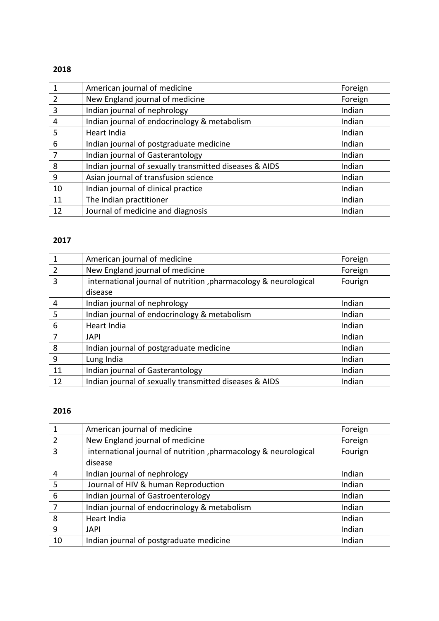| 1              | American journal of medicine                           | Foreign |
|----------------|--------------------------------------------------------|---------|
| $\overline{2}$ | New England journal of medicine                        | Foreign |
| 3              | Indian journal of nephrology                           | Indian  |
| 4              | Indian journal of endocrinology & metabolism           | Indian  |
| 5              | Heart India                                            | Indian  |
| 6              | Indian journal of postgraduate medicine                | Indian  |
| $\overline{7}$ | Indian journal of Gasterantology                       | Indian  |
| 8              | Indian journal of sexually transmitted diseases & AIDS | Indian  |
| 9              | Asian journal of transfusion science                   | Indian  |
| 10             | Indian journal of clinical practice                    | Indian  |
| 11             | The Indian practitioner                                | Indian  |
| 12             | Journal of medicine and diagnosis                      | Indian  |

# 

| $\overline{1}$ | American journal of medicine                                    | Foreign |
|----------------|-----------------------------------------------------------------|---------|
| $\overline{2}$ | New England journal of medicine                                 | Foreign |
| $\overline{3}$ | international journal of nutrition, pharmacology & neurological | Fourign |
|                | disease                                                         |         |
| $\overline{4}$ | Indian journal of nephrology                                    | Indian  |
| 5              | Indian journal of endocrinology & metabolism                    | Indian  |
| 6              | Heart India                                                     | Indian  |
| $\overline{7}$ | <b>JAPI</b>                                                     | Indian  |
| 8              | Indian journal of postgraduate medicine                         | Indian  |
| 9              | Lung India                                                      | Indian  |
| 11             | Indian journal of Gasterantology                                | Indian  |
| 12             | Indian journal of sexually transmitted diseases & AIDS          | Indian  |

| 1  | American journal of medicine                                     | Foreign |
|----|------------------------------------------------------------------|---------|
| 2  | New England journal of medicine                                  | Foreign |
| 3  | international journal of nutrition , pharmacology & neurological | Fourign |
|    | disease                                                          |         |
| 4  | Indian journal of nephrology                                     | Indian  |
| 5  | Journal of HIV & human Reproduction                              | Indian  |
| 6  | Indian journal of Gastroenterology                               | Indian  |
| 7  | Indian journal of endocrinology & metabolism                     | Indian  |
| 8  | Heart India                                                      | Indian  |
| 9  | <b>JAPI</b>                                                      | Indian  |
| 10 | Indian journal of postgraduate medicine                          | Indian  |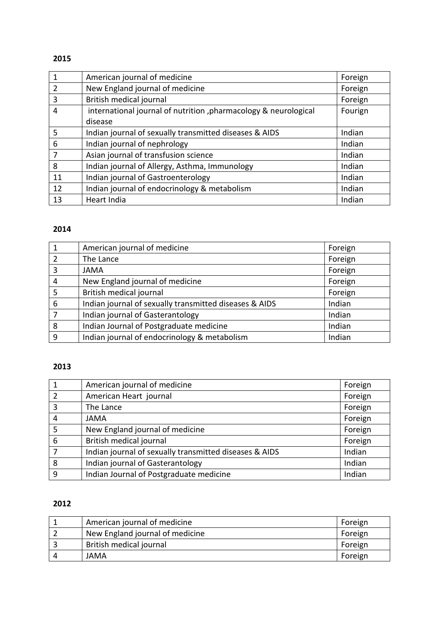| 1              | American journal of medicine                                    | Foreign |
|----------------|-----------------------------------------------------------------|---------|
| $\overline{2}$ | New England journal of medicine                                 | Foreign |
| 3              | British medical journal                                         | Foreign |
| 4              | international journal of nutrition, pharmacology & neurological | Fourign |
|                | disease                                                         |         |
| 5              | Indian journal of sexually transmitted diseases & AIDS          | Indian  |
| 6              | Indian journal of nephrology                                    | Indian  |
| 7              | Asian journal of transfusion science                            | Indian  |
| 8              | Indian journal of Allergy, Asthma, Immunology                   | Indian  |
| 11             | Indian journal of Gastroenterology                              | Indian  |
| 12             | Indian journal of endocrinology & metabolism                    | Indian  |
| 13             | Heart India                                                     | Indian  |

### 

| $\mathbf{1}$   | American journal of medicine                           | Foreign |
|----------------|--------------------------------------------------------|---------|
| $\overline{2}$ | The Lance                                              | Foreign |
| 3              | <b>JAMA</b>                                            | Foreign |
| 4              | New England journal of medicine                        | Foreign |
| 5              | British medical journal                                | Foreign |
| 6              | Indian journal of sexually transmitted diseases & AIDS | Indian  |
| $\overline{7}$ | Indian journal of Gasterantology                       | Indian  |
| 8              | Indian Journal of Postgraduate medicine                | Indian  |
| 9              | Indian journal of endocrinology & metabolism           | Indian  |

# 

|                | American journal of medicine                           | Foreign |
|----------------|--------------------------------------------------------|---------|
| $\overline{2}$ | American Heart journal                                 | Foreign |
| 3              | The Lance                                              | Foreign |
| 4              | <b>JAMA</b>                                            | Foreign |
| 5              | New England journal of medicine                        | Foreign |
| 6              | British medical journal                                | Foreign |
|                | Indian journal of sexually transmitted diseases & AIDS | Indian  |
| 8              | Indian journal of Gasterantology                       | Indian  |
| 9              | Indian Journal of Postgraduate medicine                | Indian  |

| American journal of medicine    | Foreign |
|---------------------------------|---------|
| New England journal of medicine | Foreign |
| British medical journal         | Foreign |
| JAMA                            | Foreign |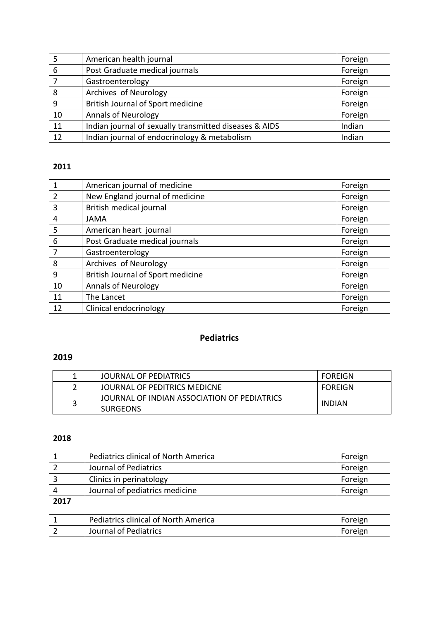| 5  | American health journal                                | Foreign |
|----|--------------------------------------------------------|---------|
| 6  | Post Graduate medical journals                         | Foreign |
|    | Gastroenterology                                       | Foreign |
| 8  | Archives of Neurology                                  | Foreign |
| 9  | British Journal of Sport medicine                      | Foreign |
| 10 | <b>Annals of Neurology</b>                             | Foreign |
| 11 | Indian journal of sexually transmitted diseases & AIDS | Indian  |
| 12 | Indian journal of endocrinology & metabolism           | Indian  |

| $\mathbf{1}$    | American journal of medicine      | Foreign |
|-----------------|-----------------------------------|---------|
| $\overline{2}$  | New England journal of medicine   | Foreign |
| 3               | British medical journal           | Foreign |
| $\overline{4}$  | <b>JAMA</b>                       | Foreign |
| 5               | American heart journal            | Foreign |
| $6\phantom{1}6$ | Post Graduate medical journals    | Foreign |
| 7               | Gastroenterology                  | Foreign |
| 8               | Archives of Neurology             | Foreign |
| 9               | British Journal of Sport medicine | Foreign |
| 10              | <b>Annals of Neurology</b>        | Foreign |
| 11              | The Lancet                        | Foreign |
| 12              | Clinical endocrinology            | Foreign |

# **Pediatrics**

# 

|   | JOURNAL OF PEDIATRICS                                          | <b>FOREIGN</b> |
|---|----------------------------------------------------------------|----------------|
|   | JOURNAL OF PEDITRICS MEDICNE                                   | <b>FOREIGN</b> |
| ર | JOURNAL OF INDIAN ASSOCIATION OF PEDIATRICS<br><b>SURGEONS</b> | INDIAN         |

### 

|      | Pediatrics clinical of North America | Foreign |
|------|--------------------------------------|---------|
|      | Journal of Pediatrics                | Foreign |
|      | Clinics in perinatology              | Foreign |
|      | Journal of pediatrics medicine       | Foreign |
| ---- |                                      |         |

| <b>Pediatrics clinical of North America</b> | Foreign |
|---------------------------------------------|---------|
| Journal of Pediatrics                       | Foreign |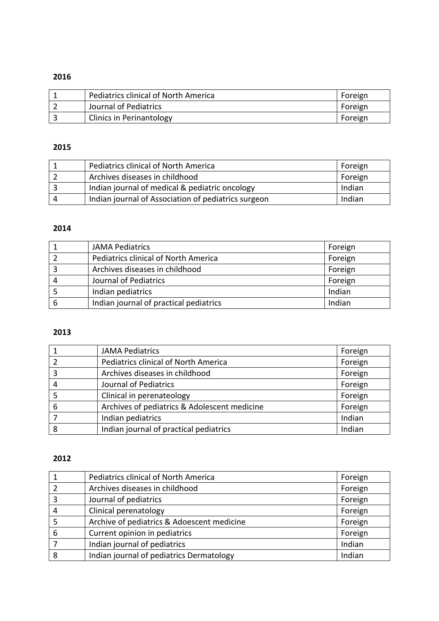| Pediatrics clinical of North America | Foreign |
|--------------------------------------|---------|
| Journal of Pediatrics                | Foreign |
| <b>Clinics in Perinantology</b>      | Foreign |

## 

|            | <b>Pediatrics clinical of North America</b>         | Foreign |
|------------|-----------------------------------------------------|---------|
|            | Archives diseases in childhood                      | Foreign |
|            | Indian journal of medical & pediatric oncology      | Indian  |
| $\sqrt{ }$ | Indian journal of Association of pediatrics surgeon | Indian  |

### 

|   | <b>JAMA Pediatrics</b>                 | Foreign |
|---|----------------------------------------|---------|
|   | Pediatrics clinical of North America   | Foreign |
|   | Archives diseases in childhood         | Foreign |
| 4 | Journal of Pediatrics                  | Foreign |
|   | Indian pediatrics                      | Indian  |
|   | Indian journal of practical pediatrics | Indian  |

### 

|   | <b>JAMA Pediatrics</b>                       | Foreign |
|---|----------------------------------------------|---------|
|   | Pediatrics clinical of North America         | Foreign |
| 3 | Archives diseases in childhood               | Foreign |
|   | Journal of Pediatrics                        | Foreign |
|   | Clinical in perenateology                    | Foreign |
| 6 | Archives of pediatrics & Adolescent medicine | Foreign |
|   | Indian pediatrics                            | Indian  |
| 8 | Indian journal of practical pediatrics       | Indian  |

|   | Pediatrics clinical of North America       | Foreign |
|---|--------------------------------------------|---------|
|   | Archives diseases in childhood             | Foreign |
| ς | Journal of pediatrics                      | Foreign |
|   | Clinical perenatology                      | Foreign |
|   | Archive of pediatrics & Adoescent medicine | Foreign |
| 6 | Current opinion in pediatrics              | Foreign |
|   | Indian journal of pediatrics               | Indian  |
| 8 | Indian journal of pediatrics Dermatology   | Indian  |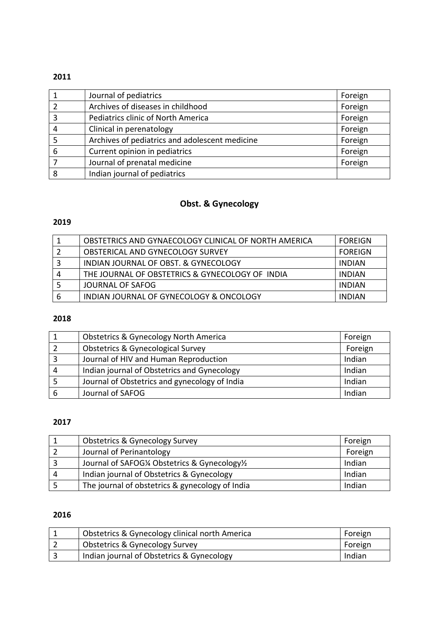|   | Journal of pediatrics                          | Foreign |
|---|------------------------------------------------|---------|
|   | Archives of diseases in childhood              | Foreign |
|   | Pediatrics clinic of North America             | Foreign |
|   | Clinical in perenatology                       | Foreign |
|   | Archives of pediatrics and adolescent medicine | Foreign |
| 6 | Current opinion in pediatrics                  | Foreign |
|   | Journal of prenatal medicine                   | Foreign |
| 8 | Indian journal of pediatrics                   |         |

# **Obst. & Gynecology**

### 

| OBSTETRICS AND GYNAECOLOGY CLINICAL OF NORTH AMERICA | <b>FOREIGN</b> |
|------------------------------------------------------|----------------|
| <b>OBSTERICAL AND GYNECOLOGY SURVEY</b>              | <b>FOREIGN</b> |
| INDIAN JOURNAL OF OBST. & GYNECOLOGY                 | <b>INDIAN</b>  |
| THE JOURNAL OF OBSTETRICS & GYNECOLOGY OF INDIA      | <b>INDIAN</b>  |
| JOURNAL OF SAFOG                                     | <b>INDIAN</b>  |
| INDIAN JOURNAL OF GYNECOLOGY & ONCOLOGY              | <b>INDIAN</b>  |

### 

|   | <b>Obstetrics &amp; Gynecology North America</b> | Foreign |
|---|--------------------------------------------------|---------|
|   |                                                  |         |
|   | <b>Obstetrics &amp; Gynecological Survey</b>     | Foreign |
|   | Journal of HIV and Human Reproduction            | Indian  |
| 4 | Indian journal of Obstetrics and Gynecology      | Indian  |
|   | Journal of Obstetrics and gynecology of India    | Indian  |
| 6 | Journal of SAFOG                                 | Indian  |

### 

| <b>Obstetrics &amp; Gynecology Survey</b>       | Foreign |
|-------------------------------------------------|---------|
| Journal of Perinantology                        | Foreign |
| Journal of SAFOG1/4 Obstetrics & Gynecology1/2  | Indian  |
| Indian journal of Obstetrics & Gynecology       | Indian  |
| The journal of obstetrics & gynecology of India | Indian  |

| Obstetrics & Gynecology clinical north America | Foreign |
|------------------------------------------------|---------|
| <b>Obstetrics &amp; Gynecology Survey</b>      | Foreign |
| Indian journal of Obstetrics & Gynecology      | Indian  |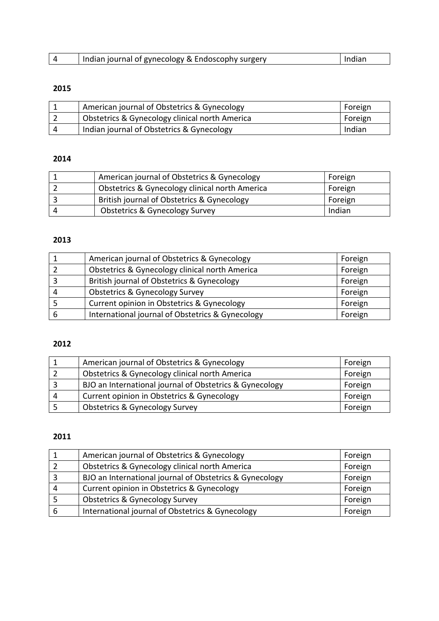| Indian journal of gynecology & Endoscophy surgery | Indian |
|---------------------------------------------------|--------|

| American journal of Obstetrics & Gynecology    | Foreign |
|------------------------------------------------|---------|
| Obstetrics & Gynecology clinical north America | Foreign |
| Indian journal of Obstetrics & Gynecology      | Indian  |

## 

|                        | American journal of Obstetrics & Gynecology    | Foreign |
|------------------------|------------------------------------------------|---------|
|                        | Obstetrics & Gynecology clinical north America | Foreign |
|                        | British journal of Obstetrics & Gynecology     | Foreign |
| $\mathbf{\mathcal{L}}$ | <b>Obstetrics &amp; Gynecology Survey</b>      | Indian  |

# 

| American journal of Obstetrics & Gynecology      | Foreign |
|--------------------------------------------------|---------|
| Obstetrics & Gynecology clinical north America   | Foreign |
| British journal of Obstetrics & Gynecology       | Foreign |
| <b>Obstetrics &amp; Gynecology Survey</b>        | Foreign |
| Current opinion in Obstetrics & Gynecology       | Foreign |
| International journal of Obstetrics & Gynecology | Foreign |

## 

|    | American journal of Obstetrics & Gynecology             | Foreign |
|----|---------------------------------------------------------|---------|
|    | Obstetrics & Gynecology clinical north America          | Foreign |
|    | BJO an International journal of Obstetrics & Gynecology | Foreign |
| -4 | Current opinion in Obstetrics & Gynecology              | Foreign |
|    | <b>Obstetrics &amp; Gynecology Survey</b>               | Foreign |

| American journal of Obstetrics & Gynecology             | Foreign |
|---------------------------------------------------------|---------|
| Obstetrics & Gynecology clinical north America          | Foreign |
| BJO an International journal of Obstetrics & Gynecology | Foreign |
| Current opinion in Obstetrics & Gynecology              | Foreign |
| <b>Obstetrics &amp; Gynecology Survey</b>               | Foreign |
| International journal of Obstetrics & Gynecology        | Foreign |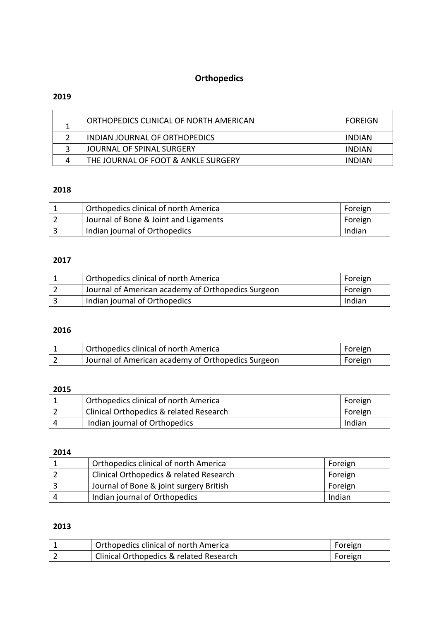# **Orthopedics**

# 

| ORTHOPEDICS CLINICAL OF NORTH AMERICAN | FOREIGN |
|----------------------------------------|---------|
| INDIAN JOURNAL OF ORTHOPEDICS          | INDIAN  |
| JOURNAL OF SPINAL SURGERY              | INDIAN  |
| THE JOURNAL OF FOOT & ANKLE SURGERY    | INDIAN  |

## 

| Orthopedics clinical of north America | Foreign |
|---------------------------------------|---------|
| Journal of Bone & Joint and Ligaments | Foreign |
| Indian journal of Orthopedics         | Indian  |

### 

| Orthopedics clinical of north America              | Foreign |
|----------------------------------------------------|---------|
| Journal of American academy of Orthopedics Surgeon | Foreign |
| Indian journal of Orthopedics                      | Indian  |

### 

| Orthopedics clinical of north America              | Foreign |
|----------------------------------------------------|---------|
| Journal of American academy of Orthopedics Surgeon | Foreign |

### 

|   | Orthopedics clinical of north America   | Foreign |
|---|-----------------------------------------|---------|
|   | Clinical Orthopedics & related Research | Foreign |
| Δ | Indian journal of Orthopedics           | Indian  |

#### 

| Orthopedics clinical of north America   | Foreign |
|-----------------------------------------|---------|
| Clinical Orthopedics & related Research | Foreign |
| Journal of Bone & joint surgery British | Foreign |
| Indian journal of Orthopedics           | Indian  |

| Orthopedics clinical of north America                | Foreign |
|------------------------------------------------------|---------|
| <sup>1</sup> Clinical Orthopedics & related Research | Foreign |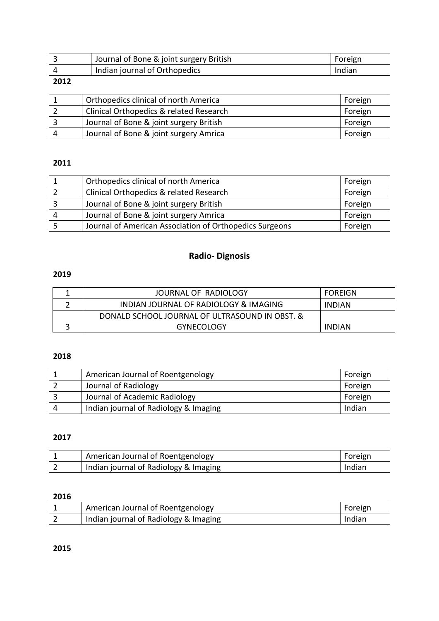|          | Journal of Bone & joint surgery British | Foreign |
|----------|-----------------------------------------|---------|
|          | Indian journal of Orthopedics           | Indian  |
| $\cdots$ |                                         |         |

| Orthopedics clinical of north America   | Foreign |
|-----------------------------------------|---------|
| Clinical Orthopedics & related Research | Foreign |
| Journal of Bone & joint surgery British | Foreign |
| Journal of Bone & joint surgery Amrica  | Foreign |

### 

|   | Orthopedics clinical of north America                   | Foreign |
|---|---------------------------------------------------------|---------|
|   | Clinical Orthopedics & related Research                 | Foreign |
|   | Journal of Bone & joint surgery British                 | Foreign |
| 4 | Journal of Bone & joint surgery Amrica                  | Foreign |
|   | Journal of American Association of Orthopedics Surgeons | Foreign |

# **Radio- Dignosis**

### 

| JOURNAL OF RADIOLOGY                           | <b>FOREIGN</b> |
|------------------------------------------------|----------------|
| INDIAN JOURNAL OF RADIOLOGY & IMAGING          | INDIAN         |
| DONALD SCHOOL JOURNAL OF ULTRASOUND IN OBST. & |                |
| <b>GYNECOLOGY</b>                              | INDIAN         |

## 

|   | American Journal of Roentgenology     | Foreign |
|---|---------------------------------------|---------|
|   | Journal of Radiology                  | Foreign |
|   | Journal of Academic Radiology         | Foreign |
| Д | Indian journal of Radiology & Imaging | Indian  |

# 

| American Journal of Roentgenology     | Foreign |
|---------------------------------------|---------|
| Indian journal of Radiology & Imaging | Indian  |

### 

| <b>American Journal of Roentgenology</b> | Foreign |
|------------------------------------------|---------|
| Indian journal of Radiology & Imaging    | Indian  |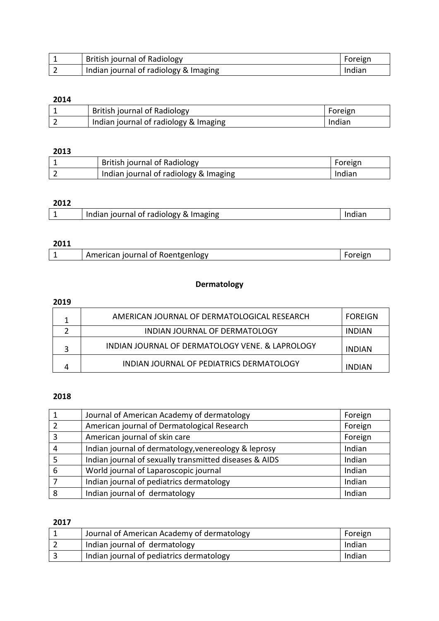| <b>British journal of Radiology</b>   | Foreign |
|---------------------------------------|---------|
| Indian journal of radiology & Imaging | Indian  |

| British journal of Radiology          | Foreign |
|---------------------------------------|---------|
| Indian journal of radiology & Imaging | Indian  |

# 

| <b>British journal of Radiology</b>   | Foreign |
|---------------------------------------|---------|
| Indian journal of radiology & Imaging | Indian  |

# 

| ---- |                                        |  |
|------|----------------------------------------|--|
|      | and of radiology &<br>& Imaging<br>Ind |  |
|      |                                        |  |

## 

| American journal of Roentgenlogy<br>- 19. |  |
|-------------------------------------------|--|
|-------------------------------------------|--|

## **Dermatology**

## 

| AMERICAN JOURNAL OF DERMATOLOGICAL RESEARCH     | FOREIGN       |
|-------------------------------------------------|---------------|
| INDIAN JOURNAL OF DERMATOLOGY                   | INDIAN        |
| INDIAN JOURNAL OF DERMATOLOGY VENE. & LAPROLOGY | <b>INDIAN</b> |
| INDIAN JOURNAL OF PEDIATRICS DERMATOLOGY        | INDIAN        |

### 

|   | Journal of American Academy of dermatology             | Foreign |
|---|--------------------------------------------------------|---------|
|   | American journal of Dermatological Research            | Foreign |
|   | American journal of skin care                          | Foreign |
| 4 | Indian journal of dermatology, venereology & leprosy   | Indian  |
|   | Indian journal of sexually transmitted diseases & AIDS | Indian  |
| 6 | World journal of Laparoscopic journal                  | Indian  |
|   | Indian journal of pediatrics dermatology               | Indian  |
|   | Indian journal of dermatology                          | Indian  |

| Journal of American Academy of dermatology | Foreign |
|--------------------------------------------|---------|
| Indian journal of dermatology              | Indian  |
| Indian journal of pediatrics dermatology   | Indian  |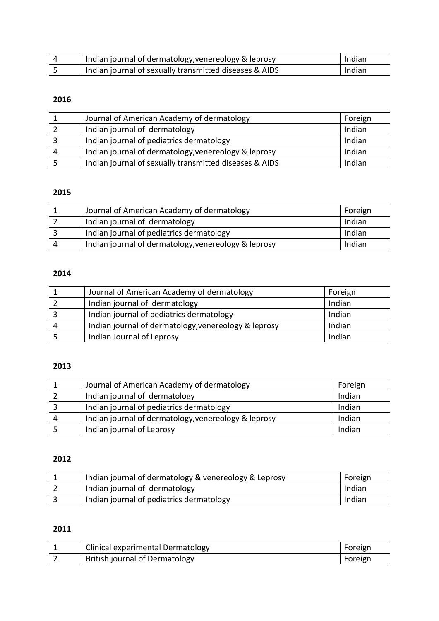| Indian journal of dermatology, venereology & leprosy   | Indian |
|--------------------------------------------------------|--------|
| Indian journal of sexually transmitted diseases & AIDS | Indian |

|   | Journal of American Academy of dermatology             | Foreign |
|---|--------------------------------------------------------|---------|
|   | Indian journal of dermatology                          | Indian  |
|   | Indian journal of pediatrics dermatology               | Indian  |
| 4 | Indian journal of dermatology, venereology & leprosy   | Indian  |
|   | Indian journal of sexually transmitted diseases & AIDS | Indian  |

# 

| Journal of American Academy of dermatology           | Foreign |
|------------------------------------------------------|---------|
| Indian journal of dermatology                        | Indian  |
| Indian journal of pediatrics dermatology             | Indian  |
| Indian journal of dermatology, venereology & leprosy | Indian  |

# 

|    | Journal of American Academy of dermatology           | Foreign |
|----|------------------------------------------------------|---------|
|    | Indian journal of dermatology                        | Indian  |
|    | Indian journal of pediatrics dermatology             | Indian  |
| -4 | Indian journal of dermatology, venereology & leprosy | Indian  |
|    | Indian Journal of Leprosy                            | Indian  |

## 

|   | Journal of American Academy of dermatology           | Foreign |
|---|------------------------------------------------------|---------|
|   | Indian journal of dermatology                        | Indian  |
|   | Indian journal of pediatrics dermatology             | Indian  |
| 4 | Indian journal of dermatology, venereology & leprosy | Indian  |
|   | Indian journal of Leprosy                            | Indian  |

# 

| Indian journal of dermatology & venereology & Leprosy | Foreign |
|-------------------------------------------------------|---------|
| Indian journal of dermatology                         | Indian  |
| Indian journal of pediatrics dermatology              | Indian  |

| <b>Clinical experimental Dermatology</b> | Foreign |
|------------------------------------------|---------|
| British journal of Dermatology           | Foreign |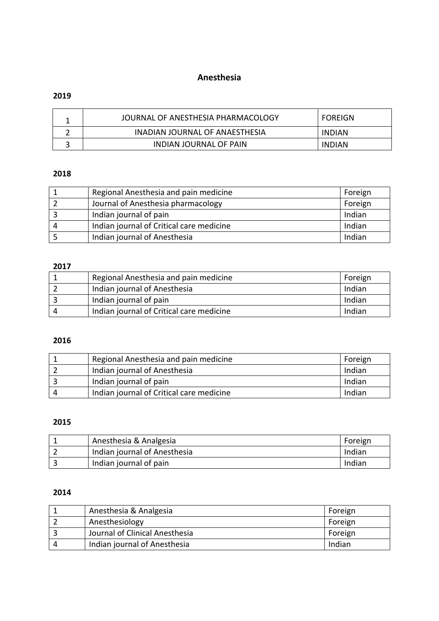### **Anesthesia**

### 

| JOURNAL OF ANESTHESIA PHARMACOLOGY | FOREIGN       |
|------------------------------------|---------------|
| INADIAN JOURNAL OF ANAESTHESIA     | <b>INDIAN</b> |
| <b>INDIAN JOURNAL OF PAIN</b>      | <b>INDIAN</b> |

### 

| Regional Anesthesia and pain medicine    | Foreign |
|------------------------------------------|---------|
| Journal of Anesthesia pharmacology       | Foreign |
| Indian journal of pain                   | Indian  |
| Indian journal of Critical care medicine | Indian  |
| Indian journal of Anesthesia             | Indian  |

### 

| Regional Anesthesia and pain medicine    | Foreign |
|------------------------------------------|---------|
| Indian journal of Anesthesia             | Indian  |
| Indian journal of pain                   | Indian  |
| Indian journal of Critical care medicine | Indian  |

## 

| Regional Anesthesia and pain medicine    | Foreign |
|------------------------------------------|---------|
| Indian journal of Anesthesia             | Indian  |
| Indian journal of pain                   | Indian  |
| Indian journal of Critical care medicine | Indian  |

### 

| Anesthesia & Analgesia       | Foreign |
|------------------------------|---------|
| Indian journal of Anesthesia | Indian  |
| Indian journal of pain       | Indian  |

| Anesthesia & Analgesia         | Foreign |
|--------------------------------|---------|
| Anesthesiology                 | Foreign |
| Journal of Clinical Anesthesia | Foreign |
| Indian journal of Anesthesia   | Indian  |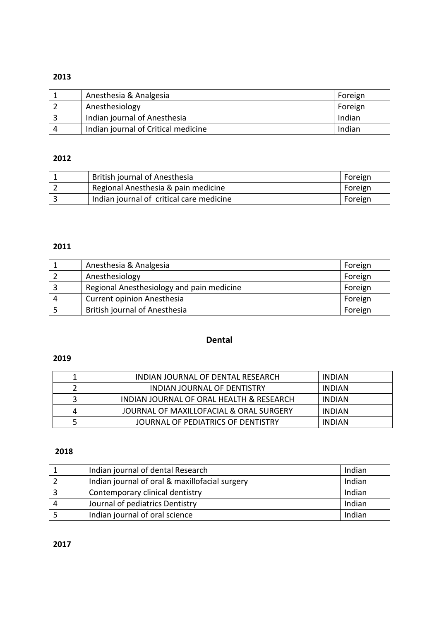| Anesthesia & Analgesia              | Foreign |
|-------------------------------------|---------|
| Anesthesiology                      | Foreign |
| Indian journal of Anesthesia        | Indian  |
| Indian journal of Critical medicine | Indian  |

### 

| British journal of Anesthesia            | Foreign |
|------------------------------------------|---------|
| Regional Anesthesia & pain medicine      | Foreign |
| Indian journal of critical care medicine | Foreign |

## 

|   | Anesthesia & Analgesia                    | Foreign |
|---|-------------------------------------------|---------|
|   | Anesthesiology                            | Foreign |
|   | Regional Anesthesiology and pain medicine | Foreign |
| Δ | <b>Current opinion Anesthesia</b>         | Foreign |
|   | <b>British journal of Anesthesia</b>      | Foreign |

# **Dental**

### 

| INDIAN JOURNAL OF DENTAL RESEARCH        | <b>INDIAN</b> |
|------------------------------------------|---------------|
| INDIAN JOURNAL OF DENTISTRY              | INDIAN        |
| INDIAN JOURNAL OF ORAL HEALTH & RESEARCH | <b>INDIAN</b> |
| JOURNAL OF MAXILLOFACIAL & ORAL SURGERY  | INDIAN        |
| JOURNAL OF PEDIATRICS OF DENTISTRY       | <b>INDIAN</b> |

|          | Indian journal of dental Research              | Indian |
|----------|------------------------------------------------|--------|
|          | Indian journal of oral & maxillofacial surgery | Indian |
|          | Contemporary clinical dentistry                | Indian |
| $\Delta$ | Journal of pediatrics Dentistry                | Indian |
|          | Indian journal of oral science                 | Indian |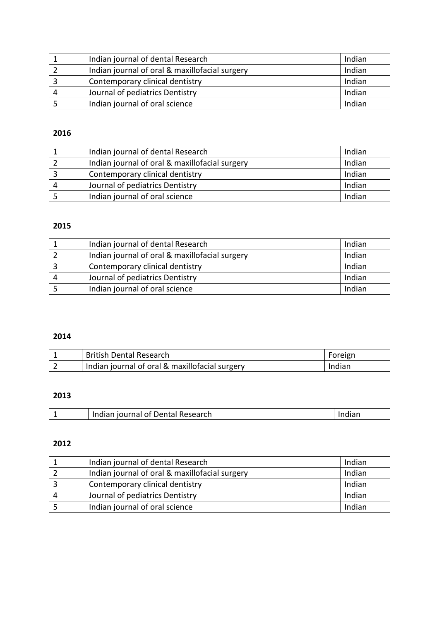| Indian journal of dental Research              | Indian |
|------------------------------------------------|--------|
| Indian journal of oral & maxillofacial surgery | Indian |
| Contemporary clinical dentistry                | Indian |
| Journal of pediatrics Dentistry                | Indian |
| Indian journal of oral science                 | Indian |

| Indian journal of dental Research              | Indian |
|------------------------------------------------|--------|
| Indian journal of oral & maxillofacial surgery | Indian |
| Contemporary clinical dentistry                | Indian |
| Journal of pediatrics Dentistry                | Indian |
| Indian journal of oral science                 | Indian |

# 

| Indian journal of dental Research              | Indian |
|------------------------------------------------|--------|
| Indian journal of oral & maxillofacial surgery | Indian |
| Contemporary clinical dentistry                | Indian |
| Journal of pediatrics Dentistry                | Indian |
| Indian journal of oral science                 | Indian |

# 

| <b>British Dental Research</b>                 | Foreign |
|------------------------------------------------|---------|
| Indian journal of oral & maxillofacial surgery | Indian  |

# 

|  | Indian journal of Dental Research | Indian |
|--|-----------------------------------|--------|
|--|-----------------------------------|--------|

| Indian journal of dental Research              | Indian |
|------------------------------------------------|--------|
| Indian journal of oral & maxillofacial surgery | Indian |
| Contemporary clinical dentistry                | Indian |
| Journal of pediatrics Dentistry                | Indian |
| Indian journal of oral science                 | Indian |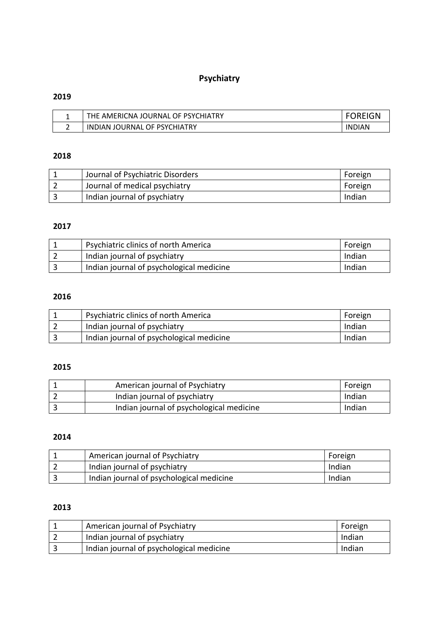# **Psychiatry**

# 

| THE AMERICNA JOURNAL OF PSYCHIATRY | ንREIGN        |
|------------------------------------|---------------|
| INDIAN JOURNAL OF PSYCHIATRY       | <b>INDIAN</b> |

## 

| <sup>1</sup> Journal of Psychiatric Disorders | Foreign |
|-----------------------------------------------|---------|
| Journal of medical psychiatry                 | Foreign |
| Indian journal of psychiatry                  | Indian  |

# 

| <b>Psychiatric clinics of north America</b> | Foreign |
|---------------------------------------------|---------|
| Indian journal of psychiatry                | Indian  |
| Indian journal of psychological medicine    | Indian  |

## 

| Psychiatric clinics of north America     | Foreign |
|------------------------------------------|---------|
| Indian journal of psychiatry             | Indian  |
| Indian journal of psychological medicine | Indian  |

## 

| American journal of Psychiatry           | Foreign |
|------------------------------------------|---------|
| Indian journal of psychiatry             | Indian  |
| Indian journal of psychological medicine | Indian  |

## 

| American journal of Psychiatry           | Foreign |
|------------------------------------------|---------|
| Indian journal of psychiatry             | Indian  |
| Indian journal of psychological medicine | Indian  |

| American journal of Psychiatry           | Foreign |
|------------------------------------------|---------|
| Indian journal of psychiatry             | Indian  |
| Indian journal of psychological medicine | Indian  |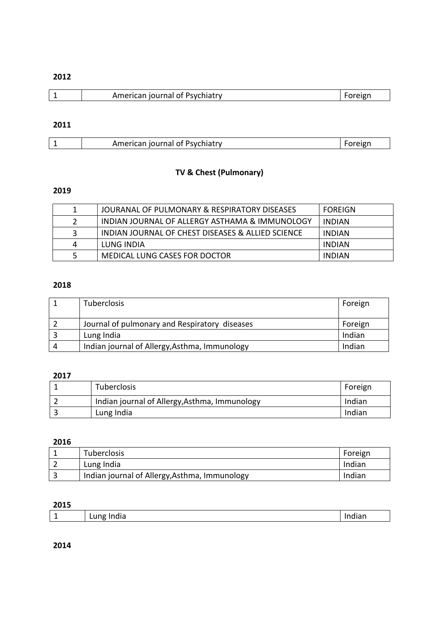|  |  | cican iournal of Psychiatry. |  |
|--|--|------------------------------|--|
|--|--|------------------------------|--|

#### 

| .<br>าเลน<br><br>$\sim$ |  | والمتطاعرة والمراجر |  |
|-------------------------|--|---------------------|--|

# **TV & Chest (Pulmonary)**

## 

| 1  | JOURANAL OF PULMONARY & RESPIRATORY DISEASES      | <b>FOREIGN</b> |
|----|---------------------------------------------------|----------------|
| 2  | INDIAN JOURNAL OF ALLERGY ASTHAMA & IMMUNOLOGY    | <b>INDIAN</b>  |
| 3  | INDIAN JOURNAL OF CHEST DISEASES & ALLIED SCIENCE | <b>INDIAN</b>  |
| 4  | LUNG INDIA                                        | <b>INDIAN</b>  |
| -5 | MEDICAL LUNG CASES FOR DOCTOR                     | <b>INDIAN</b>  |

### 

|          | <b>Tuberclosis</b>                            | Foreign |
|----------|-----------------------------------------------|---------|
|          | Journal of pulmonary and Respiratory diseases | Foreign |
|          | Lung India                                    | Indian  |
| $\Delta$ | Indian journal of Allergy, Asthma, Immunology | Indian  |

### 

| Tuberclosis                                   | Foreign |
|-----------------------------------------------|---------|
| Indian journal of Allergy, Asthma, Immunology | Indian  |
| Lung India                                    | Indian  |

#### 

|   | Tuberclosis                                   | Foreign |
|---|-----------------------------------------------|---------|
|   | Lung India                                    | Indian  |
| ∍ | Indian journal of Allergy, Asthma, Immunology | Indian  |

### 

| $\overline{\phantom{a}}$ | .<br>--<br>.<br>பட<br>סיי~ | $\sim$<br>____ |
|--------------------------|----------------------------|----------------|
|                          |                            |                |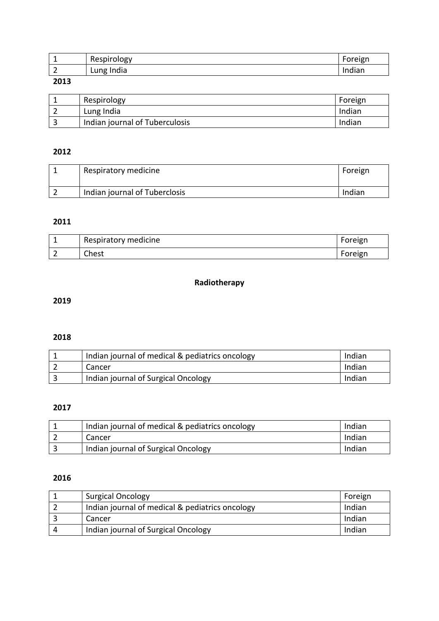|          | Respiro<br><b>UIO</b> gv  | $\overline{\phantom{0}}$<br><br>$-1$ |
|----------|---------------------------|--------------------------------------|
| <u>_</u> | India<br>$\cdots$<br>LUIL | .<br>م ا<br>тат.                     |

| Respirology                    | Foreign |
|--------------------------------|---------|
| Lung India                     | Indian  |
| Indian journal of Tuberculosis | Indian  |

# 

| Respiratory medicine          | Foreign |
|-------------------------------|---------|
| Indian journal of Tuberclosis | Indian  |

## 

| Respiratory medicine | Foreign |
|----------------------|---------|
| Chest                | Foreign |

# **Radiotherapy**

# 

# 

| Indian journal of medical & pediatrics oncology | Indian |
|-------------------------------------------------|--------|
| Cancer                                          | Indian |
| Indian journal of Surgical Oncology             | Indian |

### 

| Indian journal of medical & pediatrics oncology | Indian |
|-------------------------------------------------|--------|
| Cancer                                          | Indian |
| Indian journal of Surgical Oncology             | Indian |

| <b>Surgical Oncology</b>                        | Foreign |
|-------------------------------------------------|---------|
| Indian journal of medical & pediatrics oncology | Indian  |
| Cancer                                          | Indian  |
| Indian journal of Surgical Oncology             | Indian  |